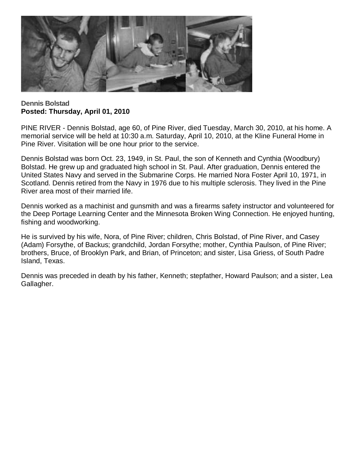

**Dennis Bolstad Posted: Thursday, April 01, 2010**

PINE RIVER - Dennis Bolstad, age 60, of Pine River, died Tuesday, March 30, 2010, at his home. A memorial service will be held at 10:30 a.m. Saturday, April 10, 2010, at the Kline Funeral Home in Pine River. Visitation will be one hour prior to the service.

Dennis Bolstad was born Oct. 23, 1949, in St. Paul, the son of Kenneth and Cynthia (Woodbury) Bolstad. He grew up and graduated high school in St. Paul. After graduation, Dennis entered the United States Navy and served in the Submarine Corps. He married Nora Foster April 10, 1971, in Scotland. Dennis retired from the Navy in 1976 due to his multiple sclerosis. They lived in the Pine River area most of their married life.

Dennis worked as a machinist and gunsmith and was a firearms safety instructor and volunteered for the Deep Portage Learning Center and the Minnesota Broken Wing Connection. He enjoyed hunting, fishing and woodworking.

He is survived by his wife, Nora, of Pine River; children, Chris Bolstad, of Pine River, and Casey (Adam) Forsythe, of Backus; grandchild, Jordan Forsythe; mother, Cynthia Paulson, of Pine River; brothers, Bruce, of Brooklyn Park, and Brian, of Princeton; and sister, Lisa Griess, of South Padre Island, Texas.

Dennis was preceded in death by his father, Kenneth; stepfather, Howard Paulson; and a sister, Lea Gallagher.